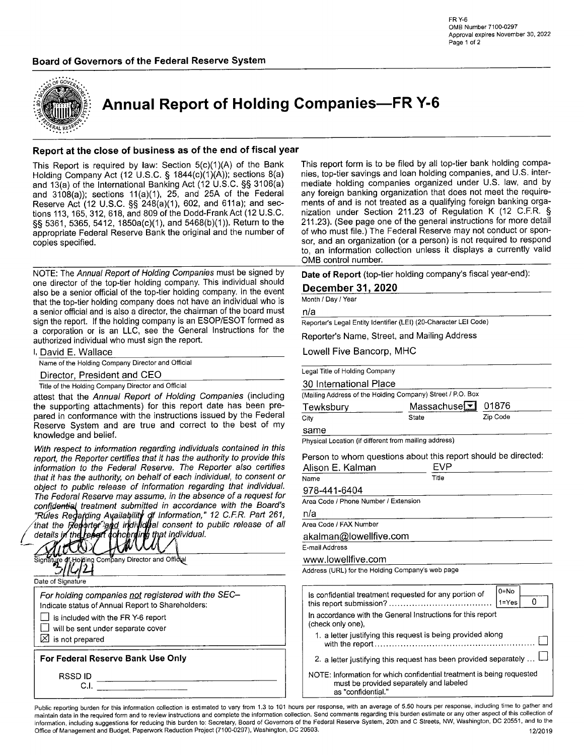# Board of Governors of the Federal Reserve System



Annual Report of Holding Companies-FR Y-6

# Report at the close of business as of the end of fiscal year

This Report is required by law: Section 5(c)(1)(A) of the Bank Holding Company Act (12 U.S.C. § 1844(c)(1)(A)); sections 8(a) and 13(a) of the lnternational Banking Act (12 U.S.C. SS 3106(a) and  $3108(a)$ ; sections  $11(a)(1)$ , 25, and 25A of the Federal Reserve Act (12 U.S.C. \$\$ 248(a)(1), 602, and 611a); and sections 113, 165,312,618, and 809 of the Dodd-FrankAct (12 U.S.C. §§ 5361, 5365, 5412, 1850a(c)(1), and 5468(b)(1)). Return to the appropriate Federal Reserve Bank the original and the number of copies specified.

NOTE: The Annual Report of Holding Companies must be signed by one director of the top-tier holding company, This individual should also be a senior official of the top-tier holding company. ln the event that the top-tier holding company does not have an individual who is a senior official and is also a director, the chairman of the board must sign the report. lf the holding company is an ESOP/ESOT formed as a corporation or is an LLC, see the General lnstructions for the authorized individual who must sign the report.

|  | l, David E. Wallace |  |
|--|---------------------|--|
|  |                     |  |

Name of the Holding Company Director and Official

Director, President and CEO

Title of the Holding Company Director and Official

attest that the Annual Report of Holding Companies (including the supporting attachments) for this report date has been pre' pared in conformance with the instructions issued by the Federal Reserye System and are true and correct to the best of my knowledge and belief.

With respect to information regarding individuals contained in this report, the Reporter certifies that it has the authority to provide this information to the Federal Reserve. The Reporter also certifies that it has the authority, on behalf of each individual, to consent or object to public release of information regarding that individual. The Federal Reserve may assume, in the absence of a request for confidential treatment submitted in accordance with the Board's lnformation," 12 C.F.R. Pa¡t 261, the consent to public release of all Area code / FAX Number



This report form is to be filed by all top-tier bank holding companies, top-tier savings and loan holding companies, and U.S. intermediate holding companies organized under U.S. law, and by any foreign banking organization that does not meet the requirements of and is not treated as a qualifying foreign banking organization under Section 211.23 of Regulation K (12 C.F.R.  $\S$ 211.23). (See page one of the general instructions for more detail of who must file.) The Federal Reserve may not conduct or sponsor, and an organization (or a person) is not required to respond to, an information collection unless it displays a currently valid OMB control number

Date of Report (top-tier holding company's fiscal year-end):

# December 31, 2020

Month/Day/Year

nla

Reporter's Legal Entity ldentifìer (LEl) (20-Character LEI Code)

Reporter's Name, Street, and Mailing Address

Lowell Five Bancorp, MHC

|  |  | Legal Title of Holding Company |  |
|--|--|--------------------------------|--|
|--|--|--------------------------------|--|

#### 30 lnternational Place

(Mailing Address of the Holding Company) Street / P.O. Box

| Tewksbury | Massachuse $\boxed{\blacksquare}$ 01876 |          |
|-----------|-----------------------------------------|----------|
| City      | State                                   | Zip Code |

## same

Physical Location (if different from mailing address)

Person to whom questions about this report should be directed

| Alison E. Kalman                     | <b>FVP</b> |  |
|--------------------------------------|------------|--|
| Name                                 | Title      |  |
| 978-441-6404                         |            |  |
| Area Code / Phone Number / Extension |            |  |

nla

akalman@lowellfive.com

E-mailAddress

www.lowellfive.com

Address (URL) for the Holding Company's web page

| Is confidential treatment requested for any portion of                                                                                 | $0 = No$  |  |
|----------------------------------------------------------------------------------------------------------------------------------------|-----------|--|
|                                                                                                                                        | $1 = Yes$ |  |
| In accordance with the General Instructions for this report<br>(check only one),                                                       |           |  |
| 1. a letter justifying this request is being provided along                                                                            |           |  |
| 2. a letter justifying this request has been provided separately                                                                       |           |  |
| NOTE: Information for which confidential treatment is being requested<br>must be provided separately and labeled<br>as "confidential." |           |  |

Public reporting burden for this information collection is estimated to vary from 1.3 to 101 hours per response, with an average of 5.50 hours per response, including time to gather and maintain data in the required form and to review instructions and complete the information collection. Send comments regarding this burden estimate or any other aspect of this collection of information, including suggestions for reducing this burden to: Secretary, Board of Governors of the Federal Reserve System, 20th and C Streets, NW, Washington, DC 20551, and to the<br>Office of Management and Budget, Paperwo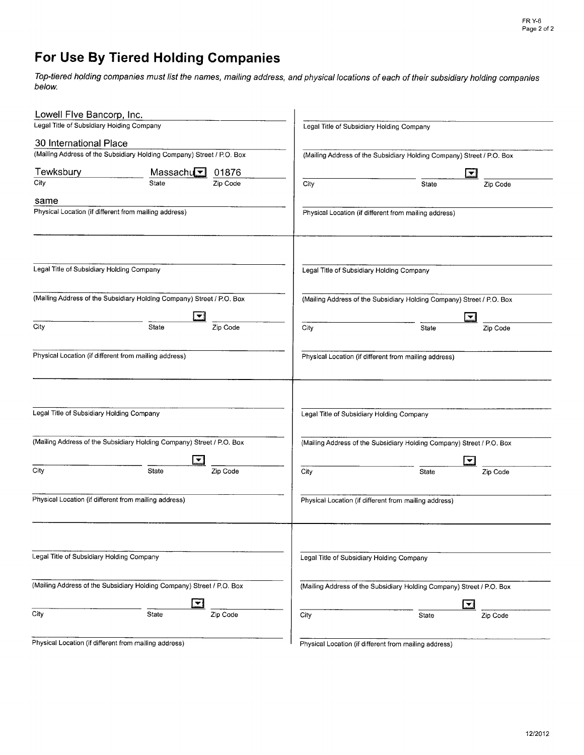# For Use By Tiered Holding Companies

Top-tiered holding companies must list the names, mailing address, and physical locations of each of their subsidiary holding companies below.

| Lowell Flve Bancorp, Inc.                             |                                                                       |                                           |                                                                       |  |  |  |  |
|-------------------------------------------------------|-----------------------------------------------------------------------|-------------------------------------------|-----------------------------------------------------------------------|--|--|--|--|
| Legal Title of Subsidiary Holding Company             |                                                                       | Legal Title of Subsidiary Holding Company |                                                                       |  |  |  |  |
| 30 International Place                                |                                                                       |                                           |                                                                       |  |  |  |  |
|                                                       | (Mailing Address of the Subsidiary Holding Company) Street / P.O. Box |                                           | (Mailing Address of the Subsidiary Holding Company) Street / P.O. Box |  |  |  |  |
| Tewksbury                                             | Massachu $\sqrt{2}$<br>01876                                          | $\overline{\phantom{a}}$                  |                                                                       |  |  |  |  |
| City                                                  | Zip Code<br>State                                                     | City                                      | Zip Code<br>State                                                     |  |  |  |  |
| same                                                  |                                                                       |                                           |                                                                       |  |  |  |  |
| Physical Location (if different from mailing address) |                                                                       |                                           | Physical Location (if different from mailing address)                 |  |  |  |  |
| Legal Title of Subsidiary Holding Company             |                                                                       | Legal Title of Subsidiary Holding Company |                                                                       |  |  |  |  |
|                                                       |                                                                       |                                           |                                                                       |  |  |  |  |
|                                                       | (Mailing Address of the Subsidiary Holding Company) Street / P.O. Box |                                           | (Mailing Address of the Subsidiary Holding Company) Street / P.O. Box |  |  |  |  |
|                                                       |                                                                       |                                           | 「▼                                                                    |  |  |  |  |
| City                                                  | Zip Code<br>State                                                     | City                                      | <b>State</b><br>Zip Code                                              |  |  |  |  |
| Physical Location (if different from mailing address) |                                                                       |                                           | Physical Location (if different from mailing address)                 |  |  |  |  |
| Legal Title of Subsidiary Holding Company             |                                                                       | Legal Title of Subsidiary Holding Company |                                                                       |  |  |  |  |
|                                                       | (Mailing Address of the Subsidiary Holding Company) Street / P.O. Box |                                           | (Mailing Address of the Subsidiary Holding Company) Street / P.O. Box |  |  |  |  |
|                                                       |                                                                       |                                           | ▼                                                                     |  |  |  |  |
| City                                                  | State<br>Zip Code                                                     | City                                      | <b>State</b><br>Zip Code                                              |  |  |  |  |
| Physical Location (if different from mailing address) |                                                                       |                                           | Physical Location (if different from mailing address)                 |  |  |  |  |
| Legal Title of Subsidiary Holding Company             |                                                                       | Legal Title of Subsidiary Holding Company |                                                                       |  |  |  |  |
|                                                       |                                                                       |                                           |                                                                       |  |  |  |  |
|                                                       | (Mailing Address of the Subsidiary Holding Company) Street / P.O. Box |                                           | (Mailing Address of the Subsidiary Holding Company) Street / P.O. Box |  |  |  |  |
| City                                                  | $\blacktriangledown$<br>State<br>Zip Code                             | City                                      | I÷.<br>State<br>Zip Code                                              |  |  |  |  |
| Physical Location (if different from mailing address) |                                                                       |                                           | Physical Location (if different from mailing address)                 |  |  |  |  |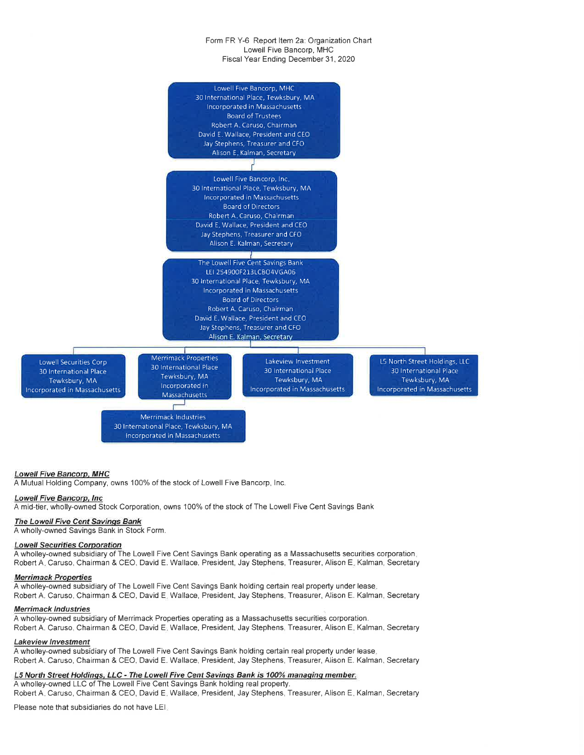#### Form FR Y-6 Report ltem 2a: Organization Chart Lowell Five Bancorp, MHC Fiscal Year Ending December 31, 2020



# Lowell Five Bancorp. MHC

A Mutual Holding Company, owns 100% of the stock of Lowell Five Bancorp, lnc.

#### Lowell Fíve Bancorp. lnc

A mid-tier, wholly-owned Stock Corporation, owns 100% of the stock of The Lowell Five Cent Savings Bank

#### The Lowell Five Cent Savinqs Bank

A wholly-owned Savings Bank in Stock Form.

# Lowell Securities Corporation

A wholley-owned subsidiary of The Lowell Five Cent Savings Bank operating as a Massachusetts securities corporation. Robert A. Caruso, Chairman & CEO, David E. Wallace, President, Jay Stephens, Treasurer, Alison E. Kalman, Secretary

### Merrimack Properties

A wholley-owned subsidiary of The Lowell Five Cent Savings Bank holding certain real property under lease. Robert A. Caruso, Chairman & CEO, David E. Wallace, President, Jay Stephens, Treasurer, Alison E. Kalman, Secretary

#### Merrimack Industries

A wholley-owned subsidiary of Merrimack Properties operating as a Massachusetts securities corporation. Robert A. Caruso, Chairman & CEO, David E. Wallace, President, Jay Stephens, Treasurer, Alison E. Kalman, Secretary

#### Lakeview lnvestment

A wholley-owned subsidiary of The Lowell Five Cent Savings Bank holding certain real property under lease. Robert A. Caruso, Chairman & CEO, David E. Wallace, President, Jay Stephens, Treasurer, Alison E. Kalman, Secretary

### L5 North Street Holdings, LLC - The Lowell Five Cent Savings Bank is 100% managing member.

A wholley-owned LLC of The Lowell Five Cent Savings Bank holding real property.

Robert A. Caruso, Chairman & CEO, David E. Wallace, President, Jay Stephens, Treasurer, Alison E. Kalman, Secretary

Please note that subsidiaries do not have LEl.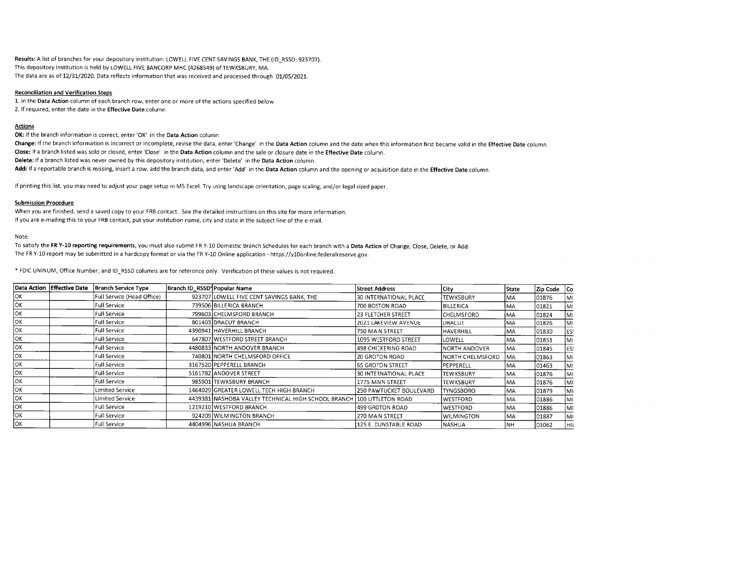Results: A list of branches for your depository institution: LOWELL FIVE CENT SAVINGS BANK, THE (ID RSSD: 923707). This depository institution is held by LOWELL FIVE BANCORP MHC (4268349) of TEWKSBURY, MA. The data are as of 12/31/2020. Data reflects information that was received and processed through 01/05/2021.

#### **Reconciliation and Verification Steps**

1. In the Data Action column of each branch row, enter one or more of the actions specified below 2. If required, enter the date in the Effective Date column

#### **Actions**

OK: If the branch information is correct, enter 'OK' in the Data Action column.

Change: If the branch information is incorrect or incomplete, revise the data, enter 'Change' in the Data Action column and the date when this information first became valid in the Effective Date column. Close: If a branch listed was sold or closed, enter 'Close' in the Data Action column and the sale or closure date in the Effective Date column. Delete: If a branch listed was never owned by this depository institution, enter 'Delete' in the Data Action column. Add: If a reportable branch is missing, insert a row, add the branch data, and enter 'Add' in the Data Action column and the opening or acquisition date in the Effective Date column.

If printing this list, you may need to adjust your page setup in MS Excel. Try using landscape orientation, page scaling, and/or legal sized paper.

#### **Submission Procedure**

When you are finished, send a saved copy to your FRB contact. See the detailed instructions on this site for more information. If you are e-mailing this to your FRB contact, put your institution name, city and state in the subject line of the e-mail.

Note:

To satisfy the FR Y-10 reporting requirements, you must also submit FR Y-10 Domestic Branch Schedules for each branch with a Data Action of Change, Close, Delete, or Add. The FR Y-10 report may be submitted in a hardcopy format or via the FR Y-10 Online application - https://y10online.federalreserve.gov.

\* FDIC UNINUM, Office Number, and ID\_RSSD columns are for reference only. Verification of these values is not required.

|     | Data Action Effective Date | <b>Branch Service Type</b> | Branch ID_RSSD <sup>*</sup> Popular Name |                                                                        | <b>Street Address</b>     | City              | State     | Zip Code Co |     |
|-----|----------------------------|----------------------------|------------------------------------------|------------------------------------------------------------------------|---------------------------|-------------------|-----------|-------------|-----|
| lок |                            | Full Service (Head Office) |                                          | 923707 LOWELL FIVE CENT SAVINGS BANK. THE                              | 30 INTERNATIONAL PLACE    | <b>TEWKSBURY</b>  | IMA       | 01876       | lMI |
| OК  |                            | Full Service               |                                          | 739506 BILLERICA BRANCH                                                | 700 BOSTON ROAD           | BILLERICA         | IMA       | 01821       | İMI |
| OК  |                            | Full Service               |                                          | 799603 CHELMSFORD BRANCH                                               | <b>23 FLETCHER STREET</b> | <b>CHELMSFORD</b> | İMA       | 01824       | MI  |
| lок |                            | Full Service               |                                          | 801403 DRACUT BRANCH                                                   | 2021 LAKEVIEW AVENUE      | <b>IDRACUT</b>    | IMA       | 101826      | IMI |
| lОK |                            | <b>Full Service</b>        |                                          | 4390941 HAVERHILL BRANCH                                               | 750 MAIN STREET           | HAVERHILL         | MA        | 01830       | ES: |
| lок |                            | Full Service               |                                          | 647807 WESTFORD STREET BRANCH                                          | 1095 WESTFORD STREET      | LOWELL            | MA        | 01851       | lMI |
| lΟK |                            | <b>Full Service</b>        |                                          | 4480833 NORTH ANDOVER BRANCH                                           | 498 CHICKERING ROAD       | NORTH ANDOVER     | lMA       | 01845       | ES: |
| lок |                            | Full Service               |                                          | 740801 NORTH CHELMSFORD OFFICE                                         | 20 GROTON ROAD            | INORTH CHELMSFORD | MA        | 01863       | MI  |
| OК  |                            | Full Service               |                                          | 3167520 PEPPERELL BRANCH                                               | 165 GROTON STREET         | PEPPERELL         | MA        | 01463       | MI  |
| lок |                            | <b>Full Service</b>        |                                          | 5161782 ANDOVER STREET                                                 | 30 INTERNATIONAL PLACE    | <b>TEWKSBURY</b>  | <b>MA</b> | 01876       | IM١ |
| lОK |                            | Full Service               |                                          | 985901 TEWKSBURY BRANCH                                                | 1775 MAIN STREET          | <b>TEWKSBURY</b>  | IMA       | 01876       | IMI |
| OK  |                            | Limited Service            |                                          | 1464029 GREATER LOWELL TECH HIGH BRANCH                                | 250 PAWTUCKET BOULEVARD   | <b>TYNGSBORO</b>  | MA        | 101879      | ١M١ |
| OК  |                            | Limited Service            |                                          | 4439381 NASHOBA VALLEY TECHNICAL HIGH SCHOOL BRANCH 100 LITTLETON ROAD |                           | lwestford         | l MA      | 01886       | İMI |
| OK  |                            | Full Service               |                                          | 1219210 WESTFORD BRANCH                                                | 1499 GROTON ROAD          | <b>WESTFORD</b>   | MA.       | 01886       | M1  |
| lок |                            | <b>Full Service</b>        |                                          | 924209 WILMINGTON BRANCH                                               | 270 MAIN STREET           | <b>WILMINGTON</b> | IMA.      | 01887       | lM1 |
| OК  |                            | <b>Full Service</b>        |                                          | 4404996 NASHUA BRANCH                                                  | 125 E. DUNSTABLE ROAD     | <b>NASHUA</b>     | l NH      | 103062      | lнı |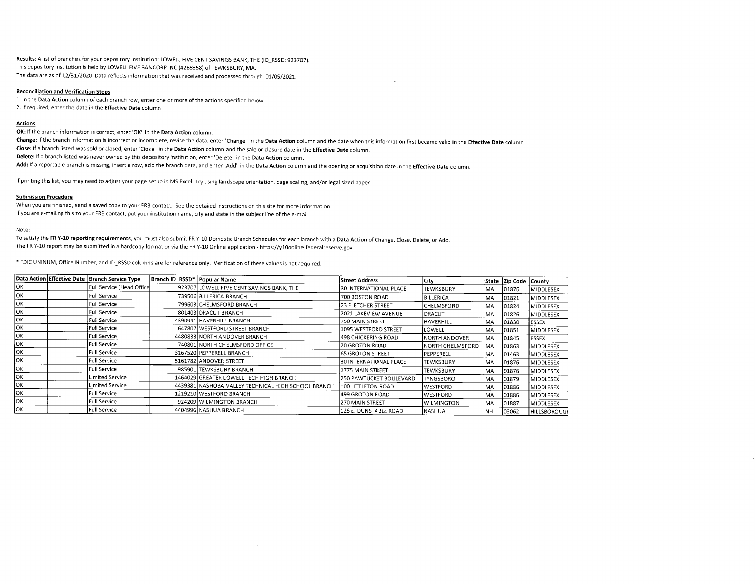Results: A list of branches for your depository institution: LOWELL FIVE CENT SAVINGS BANK, THE (ID\_RSSD: 923707). This depository institution is held by LOWELL FIVE BANCORP INC (4268358) of TEWKSBURY, MA. The data are as of 12/31/2020. Data reflects information that was received and processed through 01/05/2021.

#### **Reconciliation and Verification Steps**

1. In the Data Action column of each branch row, enter one or more of the actions specified below 2. If required, enter the date in the Effective Date column

#### Actions

OK: If the branch information is correct, enter 'OK' in the Data Action column.<br>Change: If the branch information is incorrect or incomplete, revise the data, enter 'Change' in the Data Action column and the date when this Close: If a branch listed was sold or closed, enter 'Close' in the Data Action column and the sale or closure date in the Effective Date column. Delete: If a branch listed was never owned by this depository institution, enter 'Delete' in the Data Action column.<br>Add: If a reportable branch is missing, insert a row, add the branch data, and enter 'Add' in the Data Ac

If printing this list, you may need to adjust your page setup in MS Excel. Try using landscape orientation, page scaling, and/or legal sized paper.

#### Submission Procedure

When you are finished, send a saved copy to your FRB contact. See the detailed instructions on this site for more information. If you are e-mailing this to your FRB contact, put your institution name, city and state in the subject line of the e-mail.

Note:

To satisfy the FR Y-10 reporting requirements, you must also submit FR Y-10 Domestic Branch Schedules for each branch with a Data Action of Change, Close, Delete, or Add. The FR Y-10 report may be submitted in a hardcopy format or via the FR Y-10 online application - https://yloonline.federalreserve.gov.

\* FDIC UNINUM, Office Number, and ID\_RSSD columns are for reference only. Verification of these values is not required.

|           | Data Action Effective Date   Branch Service Type | Branch ID_RSSD*   Popular Name |                                                     | <b>Street Address</b>      | City                 |           | State Zip Code County |                     |
|-----------|--------------------------------------------------|--------------------------------|-----------------------------------------------------|----------------------------|----------------------|-----------|-----------------------|---------------------|
| Iок       | Full Service (Head Office                        |                                | 923707 LOWELL FIVE CENT SAVINGS BANK, THE           | 30 INTERNATIONAL PLACE     | <b>TEWKSBURY</b>     | <b>MA</b> | 101876                | MIDDLESEX           |
| [OK       | Full Service                                     |                                | 739506 BILLERICA BRANCH                             | 700 BOSTON ROAD            | BILLERICA            | MA        | 101821                | MIDDLESEX           |
| lок       | l Full Service                                   |                                | 799603 CHELMSFORD BRANCH                            | 23 FLETCHER STREET         | <b>CHELMSFORD</b>    | MA.       | 01824                 | MIDDLESEX           |
| lок       | Full Service                                     |                                | 801403 DRACUT BRANCH                                | 2021 LAKEVIEW AVENUE       | DRACUT               | MA.       | 101826                | MIDDLESEX           |
| lок       | Full Service                                     |                                | 4390941 HAVERHILL BRANCH                            | 750 MAIN STREET            | HAVERHILL            | IMA       | 101830                | <b>ESSEX</b>        |
| loĸ       | Full Service                                     |                                | 647807 WESTFORD STREET BRANCH                       | 1095 WESTFORD STREET       | <b>ILOWELL</b>       | IMA       | 101851                | MIDDLESEX           |
| loĸ       | <b>Full Service</b>                              |                                | 4480833 NORTH ANDOVER BRANCH                        | <b>498 CHICKERING ROAD</b> | <b>NORTH ANDOVER</b> | IMA.      | 01845                 | <b>ESSEX</b>        |
| lок       | Full Service                                     |                                | 740801 NORTH CHELMSFORD OFFICE                      | 20 GROTON ROAD             | INORTH CHELMSFORD    | MA.       | 01863                 | MIDDLESEX           |
| lок       | Full Service                                     |                                | 3167520 PEPPERELL BRANCH                            | <b>65 GROTON STREET</b>    | <b>PEPPERELL</b>     | MA.       | 01463                 | MIDDLESEX           |
| lок       | Full Service                                     |                                | 5161782 ANDOVER STREET                              | 30 INTERNATIONAL PLACE     | TEWKSBURY            | MA.       | 01876                 | MIDDLESEX           |
| <b>OK</b> | <b>Full Service</b>                              |                                | 985901 TEWKSBURY BRANCH                             | 1775 MAIN STREET           | TEWKSBURY            | <b>MA</b> | 01876                 | <b>MIDDLESEX</b>    |
| IОК       | Limited Service                                  |                                | 1464029 GREATER LOWELL TECH HIGH BRANCH             | 250 PAWTUCKET BOULEVARD    | <b>TYNGSBORO</b>     | MA.       | 101879                | MIDDLESEX           |
| lок       | <b>Limited Service</b>                           |                                | 4439381 NASHOBA VALLEY TECHNICAL HIGH SCHOOL BRANCH | 100 LITTLETON ROAD         | <b>WESTFORD</b>      | <b>MA</b> | 101886                | MIDDLESEX           |
| lок       | <b>Full Service</b>                              |                                | 1219210 WESTFORD BRANCH                             | 499 GROTON ROAD            | <b>WESTFORD</b>      | MA.       | 101886                | MIDDLESEX           |
| lок       | <b>Full Service</b>                              |                                | 924209 WILMINGTON BRANCH                            | 270 MAIN STREET            | <b>WILMINGTON</b>    | IMA.      | 01887                 | MIDDLESEX           |
| lок       | l Full Service i                                 |                                | 4404996 NASHUA BRANCH                               | 125 E. DUNSTABLE ROAD      | NASHUA               | <b>NH</b> | 03062                 | <b>HILLSBOROUGI</b> |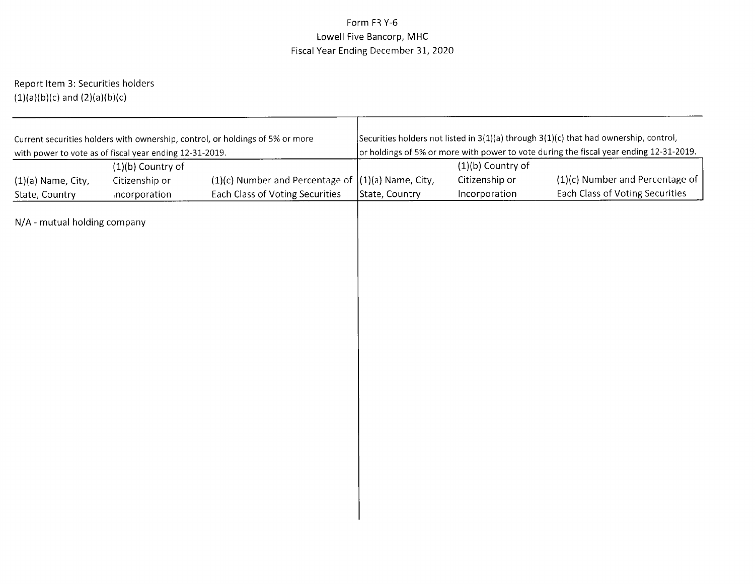# Form FR Y-6 Lowell Five Bancorp, MHCFiscal Year Ending December 31, 2O2O

Report ltem 3: Securities holders $(1)(\mathsf{a})(\mathsf{b})(\mathsf{c})$  and  $(2)(\mathsf{a})(\mathsf{b})(\mathsf{c})$ 

| Securities holders not listed in $3(1)(a)$ through $3(1)(c)$ that had ownership, control,<br>or holdings of 5% or more with power to vote during the fiscal year ending 12-31-2019. |                                                        |  |  |  |  |
|-------------------------------------------------------------------------------------------------------------------------------------------------------------------------------------|--------------------------------------------------------|--|--|--|--|
|                                                                                                                                                                                     |                                                        |  |  |  |  |
|                                                                                                                                                                                     |                                                        |  |  |  |  |
|                                                                                                                                                                                     | (1)(c) Number and Percentage of                        |  |  |  |  |
|                                                                                                                                                                                     | Each Class of Voting Securities                        |  |  |  |  |
|                                                                                                                                                                                     |                                                        |  |  |  |  |
|                                                                                                                                                                                     | $(1)(b)$ Country of<br>Citizenship or<br>Incorporation |  |  |  |  |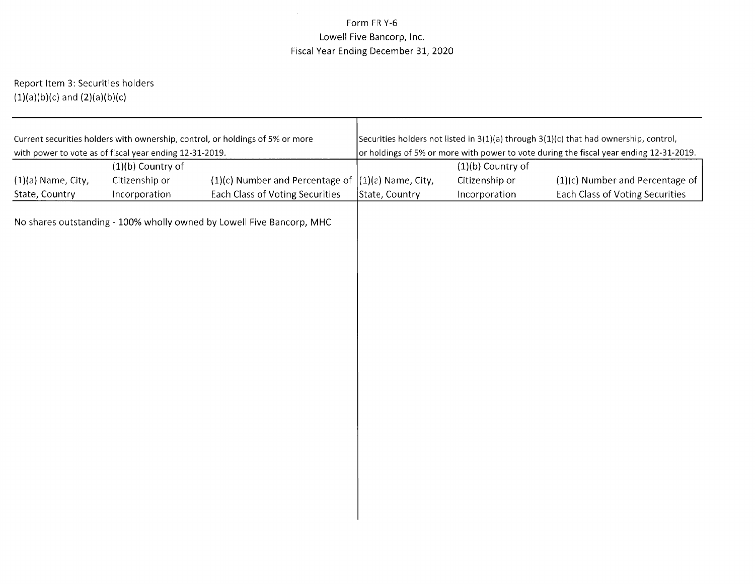# $\sim$ Form FR Y-6 Lowell Five Bancorp, lnc.Fiscal Year Ending December 31, 2020

Report ltem 3: Securities holders $(1)(\mathsf{a})(\mathsf{b})(\mathsf{c})$  and  $(2)(\mathsf{a})(\mathsf{b})(\mathsf{c})$ 

| Current securities holders with ownership, control, or holdings of 5% or more | Securities holders not listed in 3(1)(a) through 3(1)(c) that had ownership, control, |                     |                                                                                        |  |  |  |
|-------------------------------------------------------------------------------|---------------------------------------------------------------------------------------|---------------------|----------------------------------------------------------------------------------------|--|--|--|
| with power to vote as of fiscal year ending 12-31-2019.                       |                                                                                       |                     | or holdings of 5% or more with power to vote during the fiscal year ending 12-31-2019. |  |  |  |
| $(1)(b)$ Country of                                                           |                                                                                       | $(1)(b)$ Country of |                                                                                        |  |  |  |
| Citizenship or<br>$(1)(a)$ Name, City,<br>$(1)(c)$ Number and Percentage of   | $(1)(a)$ Name, City,                                                                  | Citizenship or      | $(1)(c)$ Number and Percentage of                                                      |  |  |  |
| State, Country<br>Each Class of Voting Securities<br>Incorporation            | State, Country                                                                        | Incorporation       | Each Class of Voting Securities                                                        |  |  |  |
| No shares outstanding - 100% wholly owned by Lowell Five Bancorp, MHC         |                                                                                       |                     |                                                                                        |  |  |  |
|                                                                               |                                                                                       |                     |                                                                                        |  |  |  |
|                                                                               |                                                                                       |                     |                                                                                        |  |  |  |
|                                                                               |                                                                                       |                     |                                                                                        |  |  |  |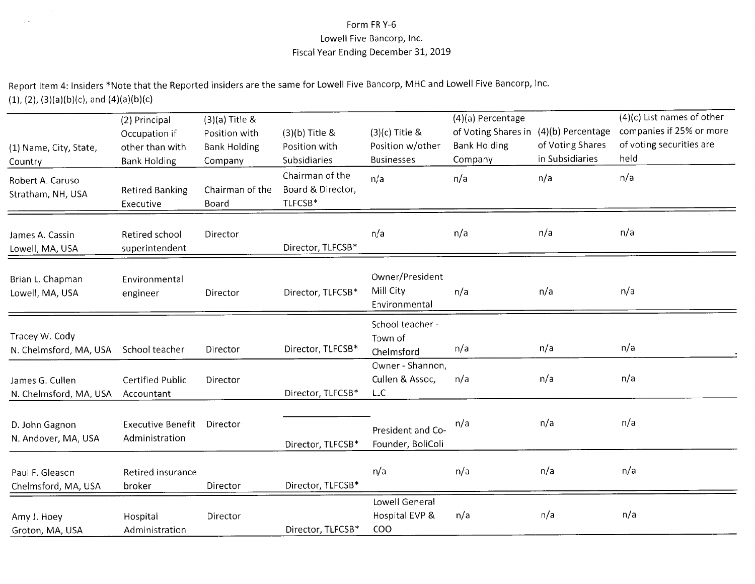# Form FR Y-6 Lowell Five Bancorp, lnc.Fiscal Year Ending December 3L, 2OI9

Report ltem 4: lnsiders \*Note that the Reported insiders are the same for Lowell Five Bancorp, MHC and Lowell Five Bancorp, lnc. (1), (2), (3)(a)(b)(c), and (4)(a)(b)(c

 $\sim$   $\times$ 

| (1) Name, City, State,<br>Country         | (2) Principal<br>Occupation if<br>other than with<br><b>Bank Holding</b> | $(3)(a)$ Title &<br>Position with<br><b>Bank Holding</b><br>Company | (3)(b) Title &<br>Position with<br>Subsidiaries | $(3)(c)$ Title &<br>Position w/other<br><b>Businesses</b> | (4)(a) Percentage<br>of Voting Shares in<br><b>Bank Holding</b><br>Company | (4)(b) Percentage<br>of Voting Shares<br>in Subsidiaries | $(4)(c)$ List names of other<br>companies if 25% or more<br>of voting securities are<br>held |
|-------------------------------------------|--------------------------------------------------------------------------|---------------------------------------------------------------------|-------------------------------------------------|-----------------------------------------------------------|----------------------------------------------------------------------------|----------------------------------------------------------|----------------------------------------------------------------------------------------------|
| Robert A. Caruso<br>Stratham, NH, USA     | <b>Retired Banking</b><br>Executive                                      | Chairman of the<br>Board                                            | Chairman of the<br>Board & Director,<br>TLFCSB* | n/a                                                       | n/a                                                                        | n/a                                                      | n/a                                                                                          |
| James A. Cassin<br>Lowell, MA, USA        | Retired school<br>superintendent                                         | Director                                                            | Director, TLFCSB*                               | n/a                                                       | n/a                                                                        | n/a                                                      | n/a                                                                                          |
| Brian L. Chapman<br>Lowell, MA, USA       | Environmental<br>engineer                                                | Director                                                            | Director, TLFCSB*                               | Owner/President<br>Mill City<br>Environmental             | n/a                                                                        | n/a                                                      | n/a                                                                                          |
| Tracey W. Cody<br>N. Chelmsford, MA, USA  | School teacher                                                           | Director                                                            | Director, TLFCSB*                               | School teacher -<br>Town of<br>Chelmsford                 | n/a                                                                        | n/a                                                      | n/a                                                                                          |
| James G. Cullen<br>N. Chelmsford, MA, USA | <b>Certified Public</b><br>Accountant                                    | Director                                                            | Director, TLFCSB*                               | Owner - Shannon,<br>Cullen & Assoc,<br><b>LLC</b>         | n/a                                                                        | n/a                                                      | n/a                                                                                          |
| D. John Gagnon<br>N. Andover, MA, USA     | <b>Executive Benefit</b><br>Administration                               | Director                                                            | Director, TLFCSB*                               | President and Co-<br>Founder, BoliColi                    | n/a                                                                        | n/a                                                      | n/a                                                                                          |
| Paul F. Gleason<br>Chelmsford, MA, USA    | Retired insurance<br>broker                                              | Director                                                            | Director, TLFCSB*                               | n/a                                                       | n/a                                                                        | n/a                                                      | n/a                                                                                          |
| Amy J. Hoey<br>Groton, MA, USA            | Hospital<br>Administration                                               | Director                                                            | Director, TLFCSB*                               | Lowell General<br>Hospital EVP &<br>COO                   | n/a                                                                        | n/a                                                      | n/a                                                                                          |